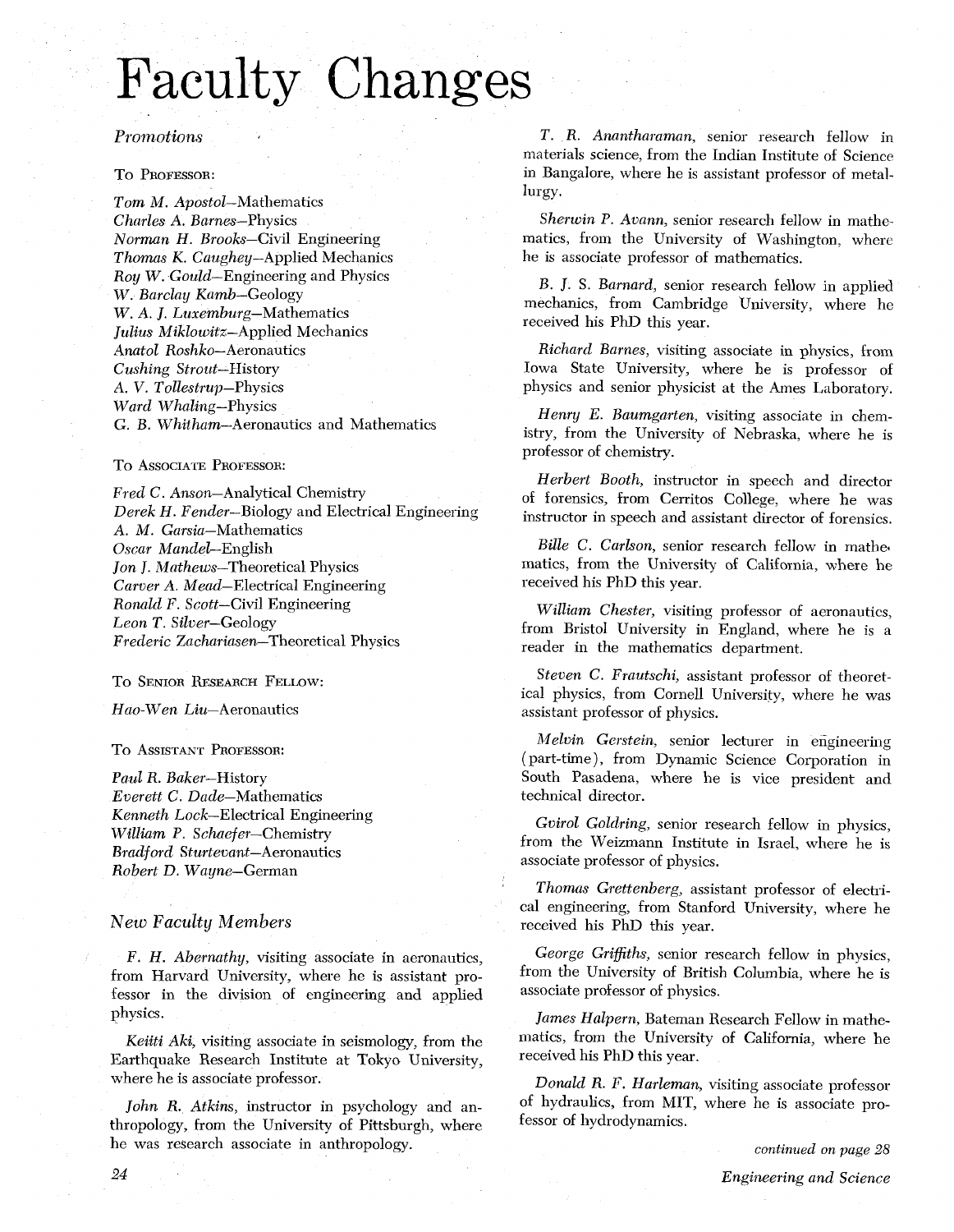# Faculty Changes

### *Promotions*

#### TO PROFESSOR:

Tom M. Apostol-Mathematics Charles A. Barnes-Physics Norman H. Brooks-Civil Engineering Thomas K. Caughey-Applied Mechanics Roy W. Gould-Engineering and Physics W. Barclay Kamb-Geology W. A. J. Luxemburg-Mathematics Julius Miklowitz-Applied Mechanics Anatol Koshko-Aeronautics Cushing Strout-History A. V. Tollestrup-Physics Ward Whaling-Physics G. B. Whitham-Aeronautics and Mathematics

TO ASSOCIATE PROFESSOR:

Fred C. Anson-Analytical Chemistry Derek H. Fender-Biology and Electrical Engineering A. M. Garsia-Mathematics Oscar Mandel-English Jon 1. Mathews-Theoretical Physics Carver A. Mead-Electrical Engineering Ronald *F.* Scott-Civil Engineering Leon T. Silver-Geology Frederic Zachariasen-Theoretical Physics

TO SENIOR RESEARCH FELLOW:

Hao-Wen Liu-Aeronautics

TO ASSISTANT PROFESSOR:

Paul R. Baker-History Everett *C.* Dade-Mathematics Kenneth Lock-Electrical Engineering William P. Schaefer-Chemistry Bradford Sturtevant-Aeronautics Robert D. Wayne-German

#### *New Faculty Members*

F. H. Abernathy, visiting associate in aeronautics, from Harvard University, where he is assistant professor in the division of engineering and applied physics.

Keitti Aki, visiting associate in seismology, from the Earthquake Research Institute at Tokyo University, where he is associate professor.

John R. Atkins, instructor in psychology and anthropology, from the University of Pittsburgh, where he was research associate in anthropology.

T. R. Anantharaman, senior research fellow in materials science, from the Indian Institute of Science in Bangalore, where he is assistant professor of metallurgy.

Sherwin P. Avann, senior research fellow in mathematics, from the University of Washington, where he is associate professor of mathematics.

**B.** J. S. Barnard, senior research fellow in applied mechanics, from Cambridge University, where he received his PhD this year.

Richard Barnes, visiting associate in physics, from Iowa State University, where he is professor of physics and senior physicist at the Ames Laboratory.

Henry E. Baumgarten, visiting associate in chemistry, from the University of Nebraska, where he is professor of chemistry.

Herbert Booth, instructor in speech and director of forensics, from Cerritos College, where he was instructor in speech and assistant director of forensics.

Bille C. Carlson, senior research fellow in mathematics, from the University of California, where he received his PhD this year.

William Chester, visiting professor of aeronautics, from Bristol University in England, where he is a reader in the mathematics department.

Steven C. Frautschi, assistant professor of theoretical physics, from Cornell University, where he was assistant professor of physics.

Melvin Gerstein, senior lecturer in engineering (part-time), from Dynamic Science Corporation in South Pasadena, where he is vice president and technical director.

Gvirol Goldring, senior research fellow in physics, from the Weizmann Institute in Israel, where he is associate professor of physics.

Thomas Grettenberg, assistant professor of electrical engineering, from Stanford University, where he received his PhD this year.

George Griffiths, senior research fellow in physics, from the University of British Columbia, where he is associate professor of physics.

James Halpern, Bateman Research Fellow in mathematics, from the University of California, where he received his PhD this year.

Donald R. F. Harleman, visiting associate professor of hydraulics, from MIT, where he is associate professor of hydrodynamics.

continued on page 28

Engineering and Science

*24*